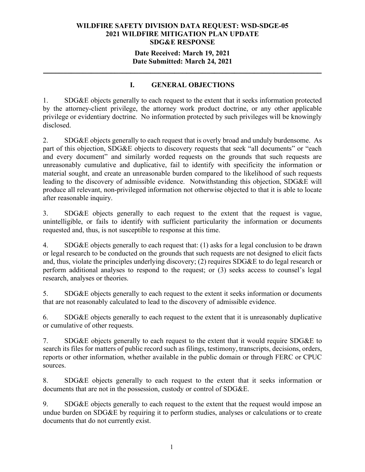#### **Date Received: March 19, 2021 Date Submitted: March 24, 2021**

**\_\_\_\_\_\_\_\_\_\_\_\_\_\_\_\_\_\_\_\_\_\_\_\_\_\_\_\_\_\_\_\_\_\_\_\_\_\_\_\_\_\_\_\_\_\_\_\_\_\_\_\_\_\_\_\_\_\_\_\_\_\_\_\_\_\_\_\_\_\_**

# **I. GENERAL OBJECTIONS**

1. SDG&E objects generally to each request to the extent that it seeks information protected by the attorney-client privilege, the attorney work product doctrine, or any other applicable privilege or evidentiary doctrine. No information protected by such privileges will be knowingly disclosed.

2. SDG&E objects generally to each request that is overly broad and unduly burdensome. As part of this objection, SDG&E objects to discovery requests that seek "all documents" or "each and every document" and similarly worded requests on the grounds that such requests are unreasonably cumulative and duplicative, fail to identify with specificity the information or material sought, and create an unreasonable burden compared to the likelihood of such requests leading to the discovery of admissible evidence. Notwithstanding this objection, SDG&E will produce all relevant, non-privileged information not otherwise objected to that it is able to locate after reasonable inquiry.

3. SDG&E objects generally to each request to the extent that the request is vague, unintelligible, or fails to identify with sufficient particularity the information or documents requested and, thus, is not susceptible to response at this time.

4. SDG&E objects generally to each request that: (1) asks for a legal conclusion to be drawn or legal research to be conducted on the grounds that such requests are not designed to elicit facts and, thus, violate the principles underlying discovery; (2) requires SDG&E to do legal research or perform additional analyses to respond to the request; or (3) seeks access to counsel's legal research, analyses or theories.

5. SDG&E objects generally to each request to the extent it seeks information or documents that are not reasonably calculated to lead to the discovery of admissible evidence.

6. SDG&E objects generally to each request to the extent that it is unreasonably duplicative or cumulative of other requests.

7. SDG&E objects generally to each request to the extent that it would require SDG&E to search its files for matters of public record such as filings, testimony, transcripts, decisions, orders, reports or other information, whether available in the public domain or through FERC or CPUC sources.

8. SDG&E objects generally to each request to the extent that it seeks information or documents that are not in the possession, custody or control of SDG&E.

9. SDG&E objects generally to each request to the extent that the request would impose an undue burden on SDG&E by requiring it to perform studies, analyses or calculations or to create documents that do not currently exist.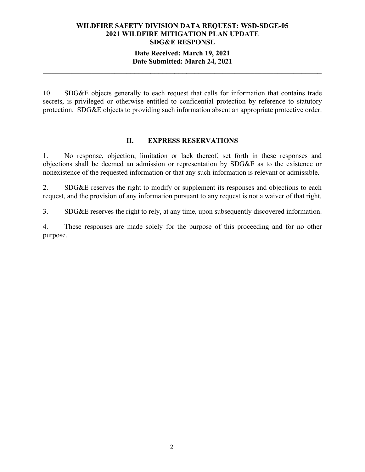#### **Date Received: March 19, 2021 Date Submitted: March 24, 2021**

**\_\_\_\_\_\_\_\_\_\_\_\_\_\_\_\_\_\_\_\_\_\_\_\_\_\_\_\_\_\_\_\_\_\_\_\_\_\_\_\_\_\_\_\_\_\_\_\_\_\_\_\_\_\_\_\_\_\_\_\_\_\_\_\_\_\_\_\_\_\_**

10. SDG&E objects generally to each request that calls for information that contains trade secrets, is privileged or otherwise entitled to confidential protection by reference to statutory protection. SDG&E objects to providing such information absent an appropriate protective order.

#### **II. EXPRESS RESERVATIONS**

1. No response, objection, limitation or lack thereof, set forth in these responses and objections shall be deemed an admission or representation by SDG&E as to the existence or nonexistence of the requested information or that any such information is relevant or admissible.

2. SDG&E reserves the right to modify or supplement its responses and objections to each request, and the provision of any information pursuant to any request is not a waiver of that right.

3. SDG&E reserves the right to rely, at any time, upon subsequently discovered information.

4. These responses are made solely for the purpose of this proceeding and for no other purpose.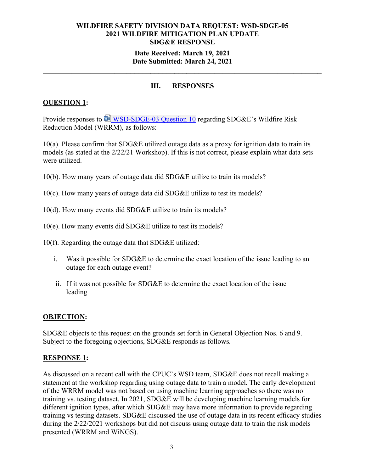## **Date Received: March 19, 2021 Date Submitted: March 24, 2021**

**\_\_\_\_\_\_\_\_\_\_\_\_\_\_\_\_\_\_\_\_\_\_\_\_\_\_\_\_\_\_\_\_\_\_\_\_\_\_\_\_\_\_\_\_\_\_\_\_\_\_\_\_\_\_\_\_\_\_\_\_\_\_\_\_\_\_\_\_\_\_**

# **III. RESPONSES**

# **QUESTION 1:**

Provide responses to  $\overline{\mathbb{P}}$  [WSD-SDGE-03 Question 10](https://sempra-my.sharepoint.com/:w:/g/personal/cstaylor_semprautilities_com/Een0g3ItaoZIuwuqqtUuOEMBOnwp2d1Sr_NzlytBbaYgqQ?e=GODoTT) regarding SDG&E's Wildfire Risk Reduction Model (WRRM), as follows:

10(a). Please confirm that SDG&E utilized outage data as a proxy for ignition data to train its models (as stated at the 2/22/21 Workshop). If this is not correct, please explain what data sets were utilized.

- 10(b). How many years of outage data did SDG&E utilize to train its models?
- 10(c). How many years of outage data did SDG&E utilize to test its models?
- 10(d). How many events did SDG&E utilize to train its models?
- 10(e). How many events did SDG&E utilize to test its models?
- 10(f). Regarding the outage data that SDG&E utilized:
	- i. Was it possible for SDG&E to determine the exact location of the issue leading to an outage for each outage event?
	- ii. If it was not possible for SDG&E to determine the exact location of the issue leading

## **OBJECTION:**

SDG&E objects to this request on the grounds set forth in General Objection Nos. 6 and 9. Subject to the foregoing objections, SDG&E responds as follows.

#### **RESPONSE 1:**

As discussed on a recent call with the CPUC's WSD team, SDG&E does not recall making a statement at the workshop regarding using outage data to train a model. The early development of the WRRM model was not based on using machine learning approaches so there was no training vs. testing dataset. In 2021, SDG&E will be developing machine learning models for different ignition types, after which SDG&E may have more information to provide regarding training vs testing datasets. SDG&E discussed the use of outage data in its recent efficacy studies during the 2/22/2021 workshops but did not discuss using outage data to train the risk models presented (WRRM and WiNGS).